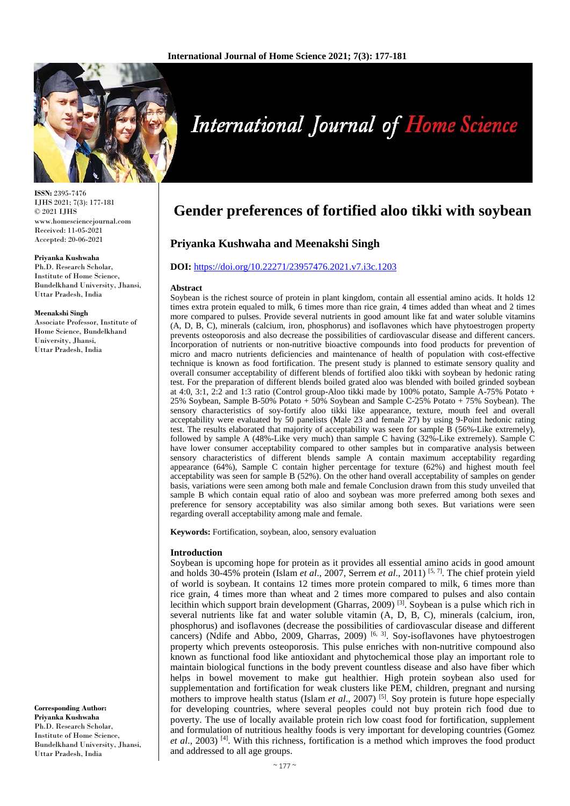

**International Journal of Home Science** 

**ISSN:** 2395-7476 IJHS 2021; 7(3): 177-181 © 2021 IJHS www.homesciencejournal.com Received: 11-05-2021 Accepted: 20-06-2021

#### **Priyanka Kushwaha**

Ph.D. Research Scholar, Institute of Home Science, Bundelkhand University, Jhansi, Uttar Pradesh, India

#### **Meenakshi Singh**

Associate Professor, Institute of Home Science, Bundelkhand University, Jhansi, Uttar Pradesh, India

**Corresponding Author: Priyanka Kushwaha** Ph.D. Research Scholar, Institute of Home Science, Bundelkhand University, Jhansi, Uttar Pradesh, India

# **Gender preferences of fortified aloo tikki with soybean**

# **Priyanka Kushwaha and Meenakshi Singh**

## **DOI:** <https://doi.org/10.22271/23957476.2021.v7.i3c.1203>

#### **Abstract**

Soybean is the richest source of protein in plant kingdom, contain all essential amino acids. It holds 12 times extra protein equaled to milk, 6 times more than rice grain, 4 times added than wheat and 2 times more compared to pulses. Provide several nutrients in good amount like fat and water soluble vitamins (A, D, B, C), minerals (calcium, iron, phosphorus) and isoflavones which have phytoestrogen property prevents osteoporosis and also decrease the possibilities of cardiovascular disease and different cancers. Incorporation of nutrients or non-nutritive bioactive compounds into food products for prevention of micro and macro nutrients deficiencies and maintenance of health of population with cost-effective technique is known as food fortification. The present study is planned to estimate sensory quality and overall consumer acceptability of different blends of fortified aloo tikki with soybean by hedonic rating test. For the preparation of different blends boiled grated aloo was blended with boiled grinded soybean at 4:0, 3:1, 2:2 and 1:3 ratio (Control group-Aloo tikki made by 100% potato, Sample A-75% Potato + 25% Soybean, Sample B-50% Potato + 50% Soybean and Sample C-25% Potato + 75% Soybean). The sensory characteristics of soy-fortify aloo tikki like appearance, texture, mouth feel and overall acceptability were evaluated by 50 panelists (Male 23 and female 27) by using 9-Point hedonic rating test. The results elaborated that majority of acceptability was seen for sample B (56%-Like extremely), followed by sample A (48%-Like very much) than sample C having (32%-Like extremely). Sample C have lower consumer acceptability compared to other samples but in comparative analysis between sensory characteristics of different blends sample A contain maximum acceptability regarding appearance (64%), Sample C contain higher percentage for texture (62%) and highest mouth feel acceptability was seen for sample B (52%). On the other hand overall acceptability of samples on gender basis, variations were seen among both male and female Conclusion drawn from this study unveiled that sample B which contain equal ratio of aloo and soybean was more preferred among both sexes and preference for sensory acceptability was also similar among both sexes. But variations were seen regarding overall acceptability among male and female.

**Keywords:** Fortification, soybean, aloo, sensory evaluation

#### **Introduction**

Soybean is upcoming hope for protein as it provides all essential amino acids in good amount and holds 30-45% protein (Islam *et al*., 2007, Serrem *et al*., 2011) [5, 7]. The chief protein yield of world is soybean. It contains 12 times more protein compared to milk, 6 times more than rice grain, 4 times more than wheat and 2 times more compared to pulses and also contain lecithin which support brain development (Gharras, 2009)  $^{[3]}$ . Soybean is a pulse which rich in several nutrients like fat and water soluble vitamin (A, D, B, C), minerals (calcium, iron, phosphorus) and isoflavones (decrease the possibilities of cardiovascular disease and different cancers) (Ndife and Abbo, 2009, Gharras, 2009)  $[6, 3]$ . Soy-isoflavones have phytoestrogen property which prevents osteoporosis. This pulse enriches with non-nutritive compound also known as functional food like antioxidant and phytochemical those play an important role to maintain biological functions in the body prevent countless disease and also have fiber which helps in bowel movement to make gut healthier. High protein soybean also used for supplementation and fortification for weak clusters like PEM, children, pregnant and nursing mothers to improve health status (Islam *et al.*, 2007)<sup>[5]</sup>. Soy protein is future hope especially for developing countries, where several peoples could not buy protein rich food due to poverty. The use of locally available protein rich low coast food for fortification, supplement and formulation of nutritious healthy foods is very important for developing countries (Gomez *et al.*, 2003) <sup>[4]</sup>. With this richness, fortification is a method which improves the food product and addressed to all age groups.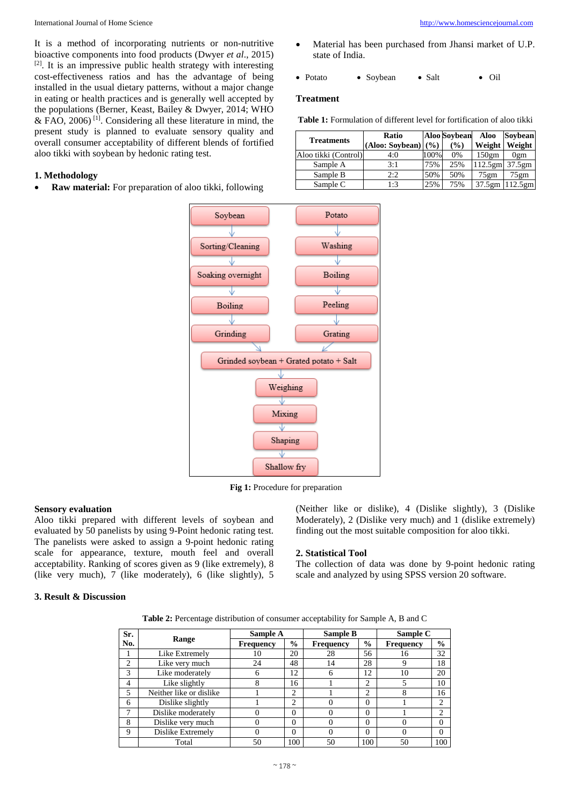International Journal of Home Science [http://www.homesciencejournal.com](http://www.homesciencejournal.com/)

It is a method of incorporating nutrients or non-nutritive bioactive components into food products (Dwyer *et al*., 2015) [2]. It is an impressive public health strategy with interesting cost-effectiveness ratios and has the advantage of being installed in the usual dietary patterns, without a major change in eating or health practices and is generally well accepted by the populations (Berner, Keast, Bailey & Dwyer, 2014; WHO & FAO, 2006) [1]. Considering all these literature in mind, the present study is planned to evaluate sensory quality and overall consumer acceptability of different blends of fortified aloo tikki with soybean by hedonic rating test.

#### **1. Methodology**

• **Raw material:** For preparation of aloo tikki, following

- Material has been purchased from Jhansi market of U.P. state of India.
- Potato Soybean Salt Oil

#### **Treatment**

**Table 1:** Formulation of different level for fortification of aloo tikki

| <b>Treatments</b>    | Ratio<br>(Aloo: Soybean) | <b>Aloo Sovbean</b><br>$($ %)<br>(%) |     | <b>Aloo</b><br>Weight | Sovbean<br>Weight |  |
|----------------------|--------------------------|--------------------------------------|-----|-----------------------|-------------------|--|
| Aloo tikki (Control) | 4:0                      | 100%                                 | 0%  | 150 <sub>gm</sub>     | 0 <sub>gm</sub>   |  |
| Sample A             | 3:1                      | 75%                                  | 25% | $112.5$ gm            | 37.5gm            |  |
| Sample B             | 2:2                      | 50%                                  | 50% | $75$ gm               | 75gm              |  |
| Sample C             | 1:3                      | 25%                                  | 75% | 37.5gm                | 112.5gm           |  |



**Fig 1:** Procedure for preparation

### **Sensory evaluation**

Aloo tikki prepared with different levels of soybean and evaluated by 50 panelists by using 9-Point hedonic rating test. The panelists were asked to assign a 9-point hedonic rating scale for appearance, texture, mouth feel and overall acceptability. Ranking of scores given as 9 (like extremely), 8 (like very much), 7 (like moderately), 6 (like slightly), 5 (Neither like or dislike), 4 (Dislike slightly), 3 (Dislike Moderately), 2 (Dislike very much) and 1 (dislike extremely) finding out the most suitable composition for aloo tikki.

#### **2. Statistical Tool**

The collection of data was done by 9-point hedonic rating scale and analyzed by using SPSS version 20 software.

# **3. Result & Discussion**

**Table 2:** Percentage distribution of consumer acceptability for Sample A, B and C

| Sr. |                         | Sample A         |               | Sample B         |               | Sample C         |                |
|-----|-------------------------|------------------|---------------|------------------|---------------|------------------|----------------|
| No. | Range                   | <b>Frequency</b> | $\frac{0}{0}$ | <b>Frequency</b> | $\frac{0}{0}$ | <b>Frequency</b> | $\frac{0}{0}$  |
|     | Like Extremely          | 10               | 20            | 28               | 56            | 16               | 32             |
| 2   | Like very much          | 24               | 48            | 14               | 28            |                  | 18             |
| 3   | Like moderately         | 6                | 12            | 6                | 12            | 10               | 20             |
| 4   | Like slightly           |                  | 16            |                  | 2             |                  | 10             |
| 5   | Neither like or dislike |                  | 2             |                  | 2             | 8                | 16             |
| 6   | Dislike slightly        |                  | 2             |                  | 0             |                  | 2              |
| ┑   | Dislike moderately      |                  | $\Omega$      |                  | 0             |                  | $\overline{c}$ |
| 8   | Dislike very much       |                  | $\Omega$      |                  | $\theta$      |                  | $\theta$       |
| 9   | Dislike Extremely       |                  | $\Omega$      |                  | $\theta$      |                  | $\Omega$       |
|     | Total                   | 50               | 100           | 50               | 100           | 50               | 100            |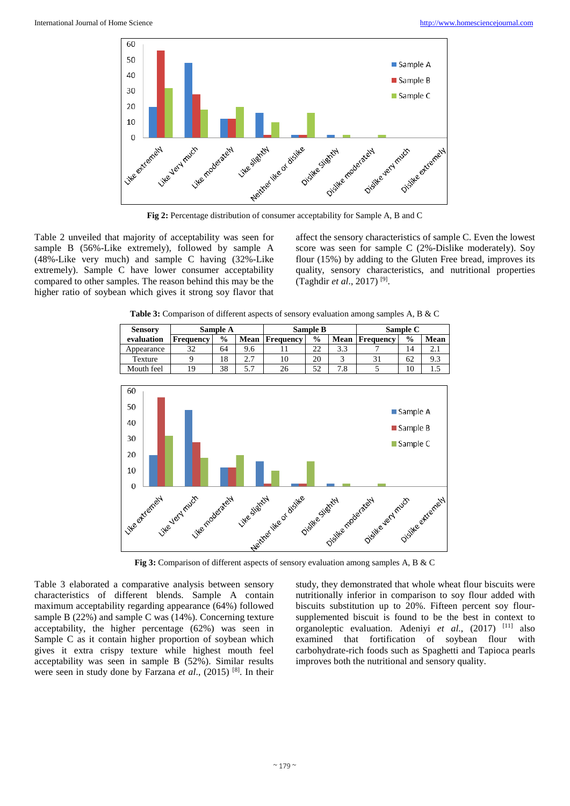

**Fig 2:** Percentage distribution of consumer acceptability for Sample A, B and C

Table 2 unveiled that majority of acceptability was seen for sample B (56%-Like extremely), followed by sample A (48%-Like very much) and sample C having (32%-Like extremely). Sample C have lower consumer acceptability compared to other samples. The reason behind this may be the higher ratio of soybean which gives it strong soy flavor that affect the sensory characteristics of sample C. Even the lowest score was seen for sample C (2%-Dislike moderately). Soy flour (15%) by adding to the Gluten Free bread, improves its quality, sensory characteristics, and nutritional properties (Taghdir *et al*., 2017) [9].

**Table 3:** Comparison of different aspects of sensory evaluation among samples A, B & C

| <b>Sensory</b>   | Sample A                          |               |               | <b>Sample B</b>      |                  |                    | Sample C         |                                                    |                  |
|------------------|-----------------------------------|---------------|---------------|----------------------|------------------|--------------------|------------------|----------------------------------------------------|------------------|
| evaluation       | Frequency                         | $\frac{0}{0}$ | Mean          | Frequency            | $\frac{0}{0}$    | Mean               | <b>Frequency</b> | $\frac{6}{9}$                                      | Mean             |
| Appearance       | 32                                | 64            | 9.6           | 11                   | 22               | 3.3                | 7                | 14                                                 | 2.1              |
| Texture          | 9                                 | 18            | 2.7           | 10                   | 20               | 3                  | 31               | 62                                                 | 9.3              |
| Mouth feel       | 19                                | 38            | 5.7           | 26                   | 52               | 7.8                | 5                | 10                                                 | 1.5              |
| 60<br>50         |                                   |               |               |                      |                  |                    |                  |                                                    |                  |
| 40               |                                   |               |               |                      |                  |                    |                  | $\blacksquare$ Sample A<br>$\blacksquare$ Sample B |                  |
| 30<br>20<br>10   |                                   |               |               |                      |                  |                    |                  | Sample C                                           |                  |
| $\mathbf 0$      |                                   |               |               |                      |                  |                    |                  |                                                    |                  |
| I like extremely | Like moderately<br>Like yery much |               | Like Silghtly | Method Hield distine | Distine Stightly | Oisilke moderately | Oisike very much |                                                    | Oisike extrement |

**Fig 3:** Comparison of different aspects of sensory evaluation among samples A, B & C

Table 3 elaborated a comparative analysis between sensory characteristics of different blends. Sample A contain maximum acceptability regarding appearance (64%) followed sample B (22%) and sample C was (14%). Concerning texture acceptability, the higher percentage (62%) was seen in Sample C as it contain higher proportion of soybean which gives it extra crispy texture while highest mouth feel acceptability was seen in sample B (52%). Similar results were seen in study done by Farzana *et al*., (2015) [8]. In their study, they demonstrated that whole wheat flour biscuits were nutritionally inferior in comparison to soy flour added with biscuits substitution up to 20%. Fifteen percent soy floursupplemented biscuit is found to be the best in context to organoleptic evaluation. Adeniyi *et al*., (2017) [11] also examined that fortification of soybean flour with carbohydrate-rich foods such as Spaghetti and Tapioca pearls improves both the nutritional and sensory quality.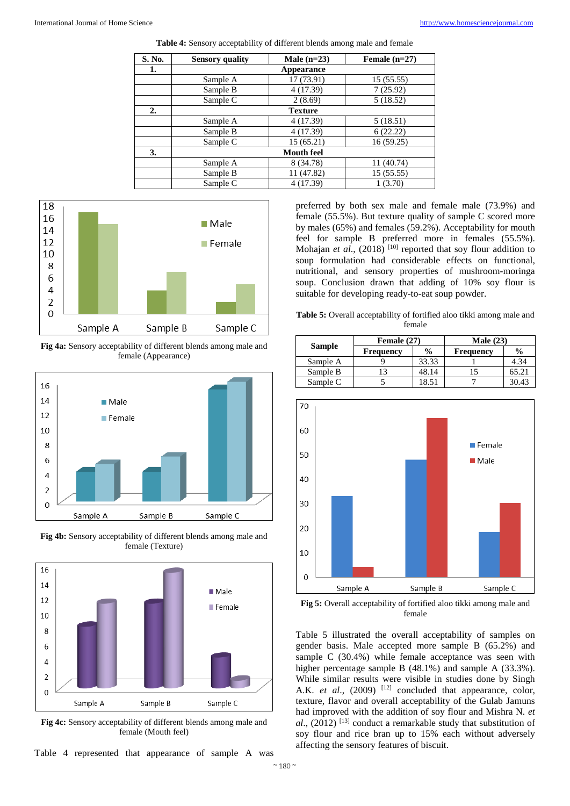| S. No. | <b>Sensory quality</b> | Male $(n=23)$     | Female $(n=27)$ |
|--------|------------------------|-------------------|-----------------|
| 1.     |                        | Appearance        |                 |
|        | Sample A               | 17 (73.91)        | 15(55.55)       |
|        | Sample B               | 4(17.39)          | 7(25.92)        |
|        | Sample C               | 2(8.69)           | 5(18.52)        |
| 2.     |                        | <b>Texture</b>    |                 |
|        | Sample A               | 4 (17.39)         | 5(18.51)        |
|        | Sample B               | 4(17.39)          | 6(22.22)        |
|        | Sample C               | 15(65.21)         | 16(59.25)       |
| 3.     |                        | <b>Mouth feel</b> |                 |
|        | Sample A               | 8 (34.78)         | 11 (40.74)      |
|        | Sample B               | 11 (47.82)        | 15(55.55)       |
|        | Sample C               | 4 (17.39)         | 1(3.70)         |

**Table 4:** Sensory acceptability of different blends among male and female



**Fig 4a:** Sensory acceptability of different blends among male and female (Appearance)



**Fig 4b:** Sensory acceptability of different blends among male and female (Texture)



**Fig 4c:** Sensory acceptability of different blends among male and female (Mouth feel)

Table 4 represented that appearance of sample A was

preferred by both sex male and female male (73.9%) and female (55.5%). But texture quality of sample C scored more by males (65%) and females (59.2%). Acceptability for mouth feel for sample B preferred more in females (55.5%). Mohajan *et al.*, (2018)<sup>[10]</sup> reported that soy flour addition to soup formulation had considerable effects on functional, nutritional, and sensory properties of mushroom-moringa soup. Conclusion drawn that adding of 10% soy flour is suitable for developing ready-to-eat soup powder.

**Table 5:** Overall acceptability of fortified aloo tikki among male and female

|               | Female (27)      |               | Male $(23)$      |               |  |
|---------------|------------------|---------------|------------------|---------------|--|
| <b>Sample</b> | <b>Frequency</b> | $\frac{0}{0}$ | <b>Frequency</b> | $\frac{6}{9}$ |  |
| Sample A      |                  | 33.33         |                  | 4.34          |  |
| Sample B      |                  | 48.14         |                  | 65.21         |  |
| Sample C      |                  | 18.51         |                  | 30.43         |  |



**Fig 5:** Overall acceptability of fortified aloo tikki among male and female

Table 5 illustrated the overall acceptability of samples on gender basis. Male accepted more sample B (65.2%) and sample C (30.4%) while female acceptance was seen with higher percentage sample B (48.1%) and sample A (33.3%). While similar results were visible in studies done by Singh A.K. *et al.*,  $(2009)$ <sup>[12]</sup> concluded that appearance, color, texture, flavor and overall acceptability of the Gulab Jamuns had improved with the addition of soy flour and Mishra N. *et al*., (2012) [13] conduct a remarkable study that substitution of soy flour and rice bran up to 15% each without adversely affecting the sensory features of biscuit.